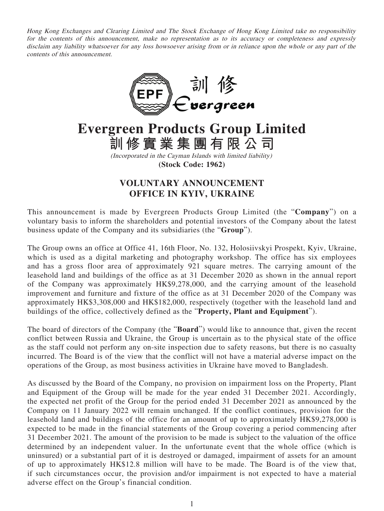Hong Kong Exchanges and Clearing Limited and The Stock Exchange of Hong Kong Limited take no responsibility for the contents of this announcement, make no representation as to its accuracy or completeness and expressly disclaim any liability whatsoever for any loss howsoever arising from or in reliance upon the whole or any part of the contents of this announcement.



**Evergreen Products Group Limited 訓修實業集團有限公司**

> (Incorporated in the Cayman Islands with limited liability) **(Stock Code: 1962)**

## **VOLUNTARY ANNOUNCEMENT OFFICE IN KYIV, UKRAINE**

This announcement is made by Evergreen Products Group Limited (the "**Company**") on a voluntary basis to inform the shareholders and potential investors of the Company about the latest business update of the Company and its subsidiaries (the "**Group**").

The Group owns an office at Office 41, 16th Floor, No. 132, Holosiivskyi Prospekt, Kyiv, Ukraine, which is used as a digital marketing and photography workshop. The office has six employees and has a gross floor area of approximately 921 square metres. The carrying amount of the leasehold land and buildings of the office as at 31 December 2020 as shown in the annual report of the Company was approximately HK\$9,278,000, and the carrying amount of the leasehold improvement and furniture and fixture of the office as at 31 December 2020 of the Company was approximately HK\$3,308,000 and HK\$182,000, respectively (together with the leasehold land and buildings of the office, collectively defined as the "**Property, Plant and Equipment**").

The board of directors of the Company (the "**Board**") would like to announce that, given the recent conflict between Russia and Ukraine, the Group is uncertain as to the physical state of the office as the staff could not perform any on-site inspection due to safety reasons, but there is no casualty incurred. The Board is of the view that the conflict will not have a material adverse impact on the operations of the Group, as most business activities in Ukraine have moved to Bangladesh.

As discussed by the Board of the Company, no provision on impairment loss on the Property, Plant and Equipment of the Group will be made for the year ended 31 December 2021. Accordingly, the expected net profit of the Group for the period ended 31 December 2021 as announced by the Company on 11 January 2022 will remain unchanged. If the conflict continues, provision for the leasehold land and buildings of the office for an amount of up to approximately HK\$9,278,000 is expected to be made in the financial statements of the Group covering a period commencing after 31 December 2021. The amount of the provision to be made is subject to the valuation of the office determined by an independent valuer. In the unfortunate event that the whole office (which is uninsured) or a substantial part of it is destroyed or damaged, impairment of assets for an amount of up to approximately HK\$12.8 million will have to be made. The Board is of the view that, if such circumstances occur, the provision and/or impairment is not expected to have a material adverse effect on the Group's financial condition.